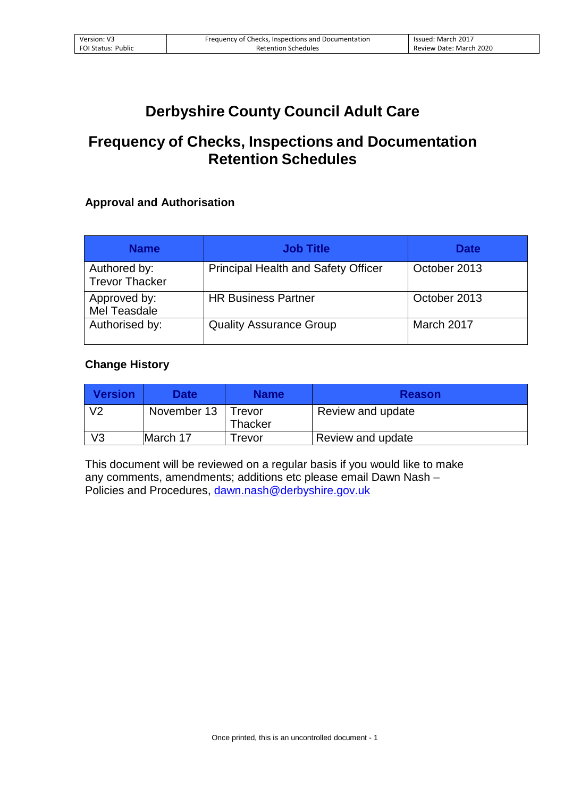## **Derbyshire County Council Adult Care**

## **Frequency of Checks, Inspections and Documentation Retention Schedules**

## **Approval and Authorisation**

| <b>Name</b>                           | <b>Job Title</b>                           | <b>Date</b>  |
|---------------------------------------|--------------------------------------------|--------------|
| Authored by:<br><b>Trevor Thacker</b> | <b>Principal Health and Safety Officer</b> | October 2013 |
| Approved by:<br>Mel Teasdale          | <b>HR Business Partner</b>                 | October 2013 |
| Authorised by:                        | <b>Quality Assurance Group</b>             | March 2017   |

## **Change History**

| <b>Version</b> | Date        | <b>Name</b>              | <b>Reason</b>     |
|----------------|-------------|--------------------------|-------------------|
| V <sub>2</sub> | November 13 | Trevor<br><b>Thacker</b> | Review and update |
| V3             | March 17    | Frevor                   | Review and update |

This document will be reviewed on a regular basis if you would like to make any comments, amendments; additions etc please email Dawn Nash – Policies and Procedures, dawn.nash@derbyshire.gov.uk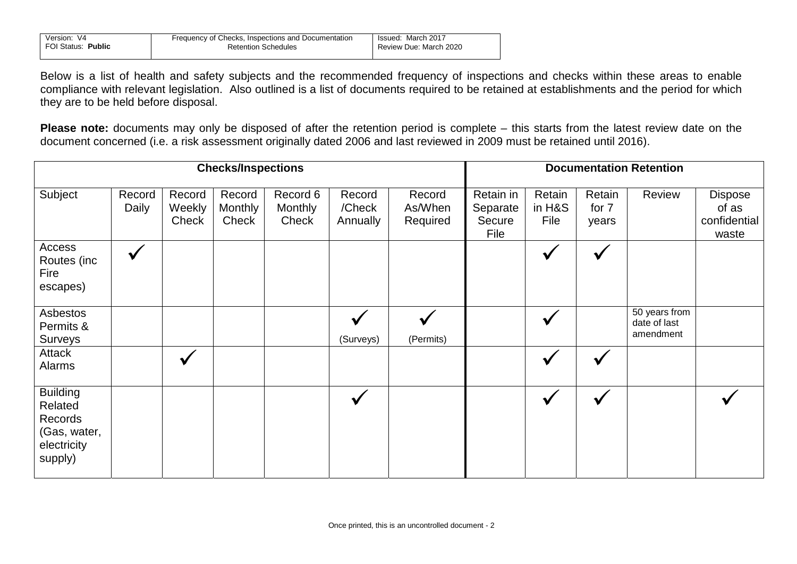| Version: V4        | Frequency of Checks, Inspections and Documentation | Issued: March 2017     |
|--------------------|----------------------------------------------------|------------------------|
| FOI Status: Public | <b>Retention Schedules</b>                         | Review Due: March 2020 |

Below is a list of health and safety subjects and the recommended frequency of inspections and checks within these areas to enable compliance with relevant legislation. Also outlined is a list of documents required to be retained at establishments and the period for which they are to be held before disposal.

**Please note:** documents may only be disposed of after the retention period is complete – this starts from the latest review date on the document concerned (i.e. a risk assessment originally dated 2006 and last reviewed in 2009 must be retained until 2016).

|                                                                                 | <b>Checks/Inspections</b> |                           |                                   |                              |                              |                               |                                         | <b>Documentation Retention</b> |                          |                                            |                                           |  |
|---------------------------------------------------------------------------------|---------------------------|---------------------------|-----------------------------------|------------------------------|------------------------------|-------------------------------|-----------------------------------------|--------------------------------|--------------------------|--------------------------------------------|-------------------------------------------|--|
| Subject                                                                         | Record<br>Daily           | Record<br>Weekly<br>Check | Record<br><b>Monthly</b><br>Check | Record 6<br>Monthly<br>Check | Record<br>/Check<br>Annually | Record<br>As/When<br>Required | Retain in<br>Separate<br>Secure<br>File | Retain<br>in H&S<br>File       | Retain<br>for 7<br>years | Review                                     | Dispose<br>of as<br>confidential<br>waste |  |
| Access<br>Routes (inc<br>Fire<br>escapes)                                       | $\checkmark$              |                           |                                   |                              |                              |                               |                                         |                                |                          |                                            |                                           |  |
| Asbestos<br>Permits &<br>Surveys                                                |                           |                           |                                   |                              | (Surveys)                    | (Permits)                     |                                         |                                |                          | 50 years from<br>date of last<br>amendment |                                           |  |
| Attack<br><b>Alarms</b>                                                         |                           |                           |                                   |                              |                              |                               |                                         |                                |                          |                                            |                                           |  |
| <b>Building</b><br>Related<br>Records<br>(Gas, water,<br>electricity<br>supply) |                           |                           |                                   |                              |                              |                               |                                         |                                |                          |                                            |                                           |  |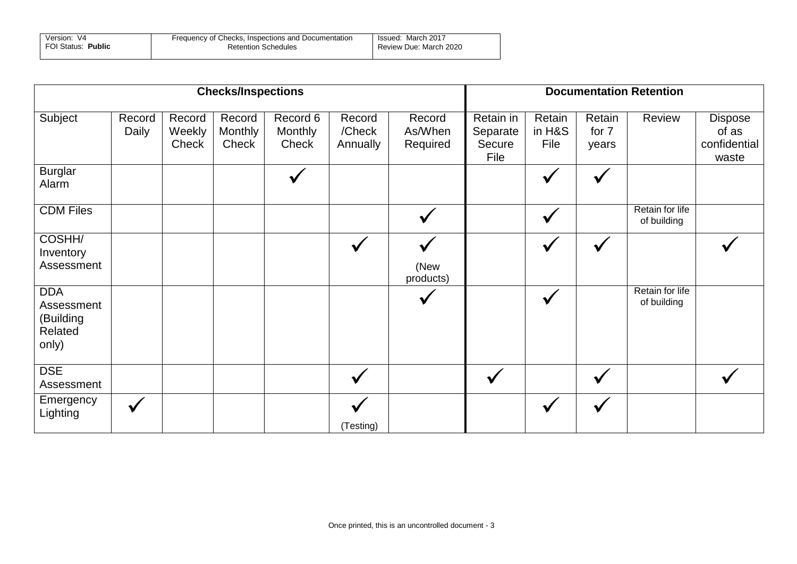| Version: V4        | Frequency of Checks, Inspections and Documentation | Issued: March 2017     |
|--------------------|----------------------------------------------------|------------------------|
| FOI Status: Public | <b>Retention Schedules</b>                         | Review Due: March 2020 |

|                                                           | <b>Checks/Inspections</b> |                           |                            |                              |                              |                               |                                         | <b>Documentation Retention</b> |                          |                                |                                                  |  |
|-----------------------------------------------------------|---------------------------|---------------------------|----------------------------|------------------------------|------------------------------|-------------------------------|-----------------------------------------|--------------------------------|--------------------------|--------------------------------|--------------------------------------------------|--|
| Subject                                                   | Record<br>Daily           | Record<br>Weekly<br>Check | Record<br>Monthly<br>Check | Record 6<br>Monthly<br>Check | Record<br>/Check<br>Annually | Record<br>As/When<br>Required | Retain in<br>Separate<br>Secure<br>File | Retain<br>in H&S<br>File       | Retain<br>for 7<br>years | Review                         | <b>Dispose</b><br>of as<br>confidential<br>waste |  |
| <b>Burglar</b><br>Alarm                                   |                           |                           |                            | $\checkmark$                 |                              |                               |                                         | $\checkmark$                   |                          |                                |                                                  |  |
| <b>CDM Files</b>                                          |                           |                           |                            |                              |                              |                               |                                         | $\checkmark$                   |                          | Retain for life<br>of building |                                                  |  |
| COSHH/<br>Inventory<br>Assessment                         |                           |                           |                            |                              | $\checkmark$                 | (New<br>products)             |                                         | $\checkmark$                   | $\checkmark$             |                                |                                                  |  |
| <b>DDA</b><br>Assessment<br>(Building<br>Related<br>only) |                           |                           |                            |                              |                              |                               |                                         | $\checkmark$                   |                          | Retain for life<br>of building |                                                  |  |
| <b>DSE</b><br>Assessment                                  |                           |                           |                            |                              |                              |                               |                                         |                                |                          |                                |                                                  |  |
| Emergency<br>Lighting                                     | $\checkmark$              |                           |                            |                              | (Testing)                    |                               |                                         |                                |                          |                                |                                                  |  |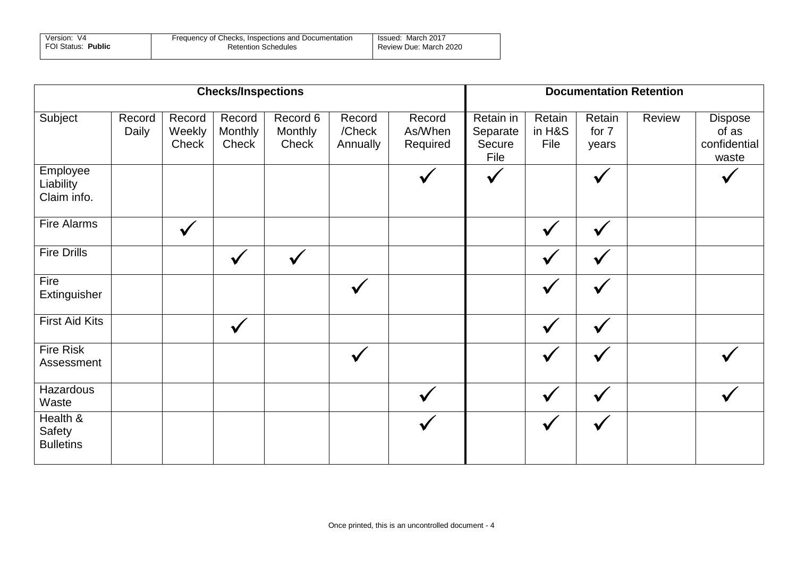| Version: V4        | Frequency of Checks, Inspections and Documentation | Issued: March 2017     |
|--------------------|----------------------------------------------------|------------------------|
| FOI Status: Public | <b>Retention Schedules</b>                         | Review Due: March 2020 |

|                                               | <b>Checks/Inspections</b> |                           |                            |                              |                              |                               |                                         |                          | <b>Documentation Retention</b> |        |                                                  |  |  |
|-----------------------------------------------|---------------------------|---------------------------|----------------------------|------------------------------|------------------------------|-------------------------------|-----------------------------------------|--------------------------|--------------------------------|--------|--------------------------------------------------|--|--|
| Subject                                       | Record<br>Daily           | Record<br>Weekly<br>Check | Record<br>Monthly<br>Check | Record 6<br>Monthly<br>Check | Record<br>/Check<br>Annually | Record<br>As/When<br>Required | Retain in<br>Separate<br>Secure<br>File | Retain<br>in H&S<br>File | Retain<br>for 7<br>years       | Review | <b>Dispose</b><br>of as<br>confidential<br>waste |  |  |
| Employee<br>Liability<br>Claim info.          |                           |                           |                            |                              |                              |                               |                                         |                          | ✔                              |        |                                                  |  |  |
| Fire Alarms                                   |                           | $\checkmark$              |                            |                              |                              |                               |                                         | $\checkmark$             | $\checkmark$                   |        |                                                  |  |  |
| <b>Fire Drills</b>                            |                           |                           | $\checkmark$               | $\checkmark$                 |                              |                               |                                         |                          | $\checkmark$                   |        |                                                  |  |  |
| Fire<br>Extinguisher                          |                           |                           |                            |                              |                              |                               |                                         | $\checkmark$             | ✔                              |        |                                                  |  |  |
| <b>First Aid Kits</b>                         |                           |                           | $\checkmark$               |                              |                              |                               |                                         | ✔                        | $\checkmark$                   |        |                                                  |  |  |
| <b>Fire Risk</b><br>Assessment                |                           |                           |                            |                              |                              |                               |                                         |                          |                                |        |                                                  |  |  |
| Hazardous<br>Waste                            |                           |                           |                            |                              |                              |                               |                                         |                          | $\checkmark$                   |        |                                                  |  |  |
| Health &<br><b>Safety</b><br><b>Bulletins</b> |                           |                           |                            |                              |                              |                               |                                         |                          | $\checkmark$                   |        |                                                  |  |  |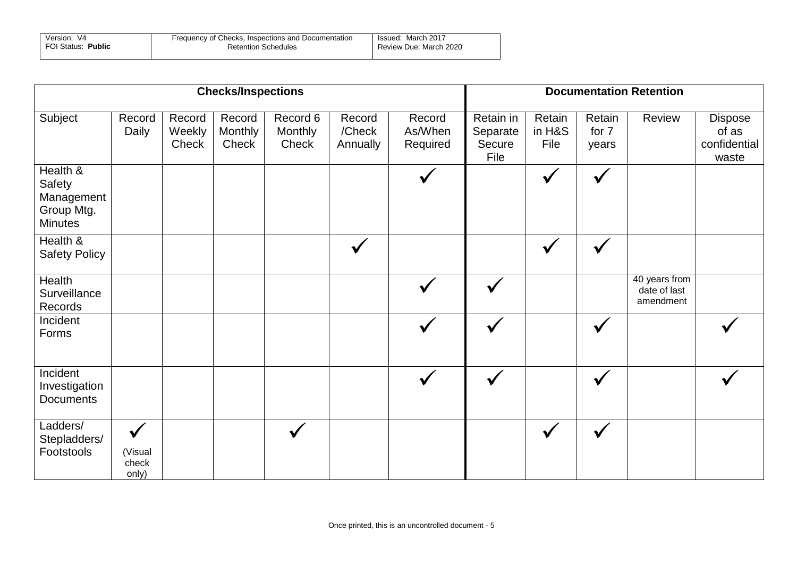| Version: V4        | Frequency of Checks, Inspections and Documentation | Issued: March 2017     |
|--------------------|----------------------------------------------------|------------------------|
| FOI Status: Public | <b>Retention Schedules</b>                         | Review Due: March 2020 |

| <b>Checks/Inspections</b>                                               |                                           |                           |                            |                              |                              |                               |                                         | <b>Documentation Retention</b> |                          |                                            |                                           |  |
|-------------------------------------------------------------------------|-------------------------------------------|---------------------------|----------------------------|------------------------------|------------------------------|-------------------------------|-----------------------------------------|--------------------------------|--------------------------|--------------------------------------------|-------------------------------------------|--|
| Subject                                                                 | Record<br>Daily                           | Record<br>Weekly<br>Check | Record<br>Monthly<br>Check | Record 6<br>Monthly<br>Check | Record<br>/Check<br>Annually | Record<br>As/When<br>Required | Retain in<br>Separate<br>Secure<br>File | Retain<br>in H&S<br>File       | Retain<br>for 7<br>years | Review                                     | Dispose<br>of as<br>confidential<br>waste |  |
| Health &<br><b>Safety</b><br>Management<br>Group Mtg.<br><b>Minutes</b> |                                           |                           |                            |                              |                              |                               |                                         | $\checkmark$                   | $\checkmark$             |                                            |                                           |  |
| Health &<br><b>Safety Policy</b>                                        |                                           |                           |                            |                              | $\checkmark$                 |                               |                                         | $\checkmark$                   | $\checkmark$             |                                            |                                           |  |
| <b>Health</b><br>Surveillance<br>Records                                |                                           |                           |                            |                              |                              |                               |                                         |                                |                          | 40 years from<br>date of last<br>amendment |                                           |  |
| Incident<br>Forms                                                       |                                           |                           |                            |                              |                              |                               |                                         |                                | $\checkmark$             |                                            |                                           |  |
| Incident<br>Investigation<br><b>Documents</b>                           |                                           |                           |                            |                              |                              |                               |                                         |                                | $\checkmark$             |                                            |                                           |  |
| Ladders/<br>Stepladders/<br>Footstools                                  | $\checkmark$<br>(Visual<br>check<br>only) |                           |                            | $\checkmark$                 |                              |                               |                                         | $\checkmark$                   | $\checkmark$             |                                            |                                           |  |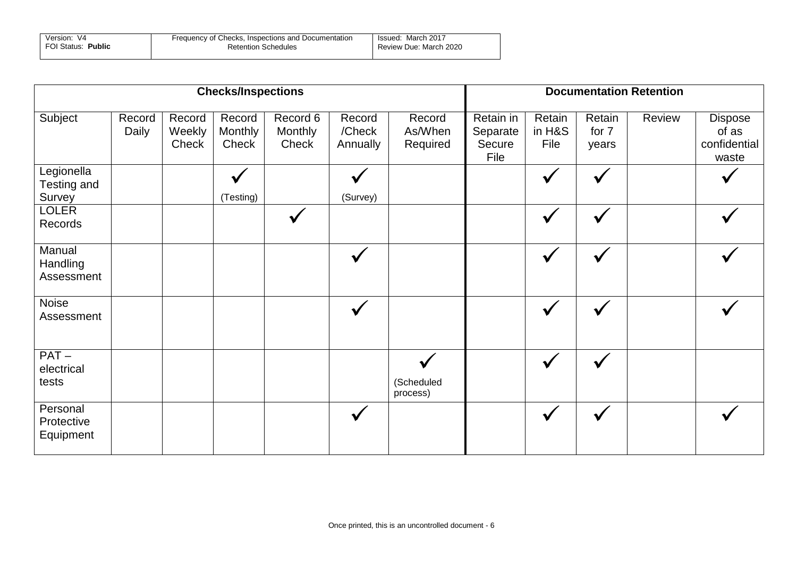| Version: V4        | Frequency of Checks, Inspections and Documentation | Issued: March 2017     |
|--------------------|----------------------------------------------------|------------------------|
| FOI Status: Public | <b>Retention Schedules</b>                         | Review Due: March 2020 |

|                                            | <b>Checks/Inspections</b> |                           |                            |                              |                              |                               |                                         | <b>Documentation Retention</b> |                          |        |                                           |  |
|--------------------------------------------|---------------------------|---------------------------|----------------------------|------------------------------|------------------------------|-------------------------------|-----------------------------------------|--------------------------------|--------------------------|--------|-------------------------------------------|--|
| Subject                                    | Record<br>Daily           | Record<br>Weekly<br>Check | Record<br>Monthly<br>Check | Record 6<br>Monthly<br>Check | Record<br>/Check<br>Annually | Record<br>As/When<br>Required | Retain in<br>Separate<br>Secure<br>File | Retain<br>in H&S<br>File       | Retain<br>for 7<br>years | Review | Dispose<br>of as<br>confidential<br>waste |  |
| Legionella<br>Testing and<br><b>Survey</b> |                           |                           | $\checkmark$<br>(Testing)  |                              | (Survey)                     |                               |                                         |                                | $\checkmark$             |        |                                           |  |
| <b>LOLER</b><br>Records                    |                           |                           |                            |                              |                              |                               |                                         | $\checkmark$                   | $\checkmark$             |        |                                           |  |
| Manual<br>Handling<br>Assessment           |                           |                           |                            |                              | $\checkmark$                 |                               |                                         | $\checkmark$                   | $\checkmark$             |        |                                           |  |
| Noise<br>Assessment                        |                           |                           |                            |                              |                              |                               |                                         |                                |                          |        |                                           |  |
| $PAT -$<br>electrical<br>tests             |                           |                           |                            |                              |                              | (Scheduled<br>process)        |                                         | $\checkmark$                   | $\checkmark$             |        |                                           |  |
| Personal<br>Protective<br>Equipment        |                           |                           |                            |                              |                              |                               |                                         |                                | $\checkmark$             |        |                                           |  |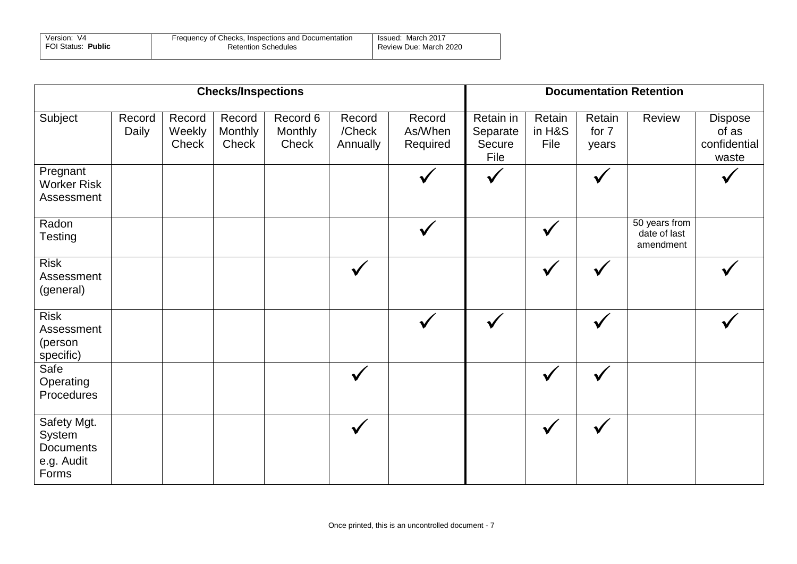| Version: V4        | Frequency of Checks, Inspections and Documentation | Issued: March 2017     |  |  |
|--------------------|----------------------------------------------------|------------------------|--|--|
| FOI Status: Public | <b>Retention Schedules</b>                         | Review Due: March 2020 |  |  |

| <b>Checks/Inspections</b>                                        |                 |                           |                            |                              |                              |                               |                                         |                          |                          | <b>Documentation Retention</b>             |                                           |
|------------------------------------------------------------------|-----------------|---------------------------|----------------------------|------------------------------|------------------------------|-------------------------------|-----------------------------------------|--------------------------|--------------------------|--------------------------------------------|-------------------------------------------|
| Subject                                                          | Record<br>Daily | Record<br>Weekly<br>Check | Record<br>Monthly<br>Check | Record 6<br>Monthly<br>Check | Record<br>/Check<br>Annually | Record<br>As/When<br>Required | Retain in<br>Separate<br>Secure<br>File | Retain<br>in H&S<br>File | Retain<br>for 7<br>years | Review                                     | Dispose<br>of as<br>confidential<br>waste |
| Pregnant<br><b>Worker Risk</b><br>Assessment                     |                 |                           |                            |                              |                              |                               |                                         |                          | $\checkmark$             |                                            |                                           |
| Radon<br><b>Testing</b>                                          |                 |                           |                            |                              |                              |                               |                                         |                          |                          | 50 years from<br>date of last<br>amendment |                                           |
| <b>Risk</b><br>Assessment<br>(general)                           |                 |                           |                            |                              | $\checkmark$                 |                               |                                         | $\checkmark$             | $\checkmark$             |                                            |                                           |
| <b>Risk</b><br>Assessment<br>(person<br>specific)                |                 |                           |                            |                              |                              | $\checkmark$                  |                                         |                          | $\checkmark$             |                                            |                                           |
| Safe<br>Operating<br>Procedures                                  |                 |                           |                            |                              | $\checkmark$                 |                               |                                         | $\checkmark$             | ✔                        |                                            |                                           |
| Safety Mgt.<br>System<br><b>Documents</b><br>e.g. Audit<br>Forms |                 |                           |                            |                              | V                            |                               |                                         | $\checkmark$             |                          |                                            |                                           |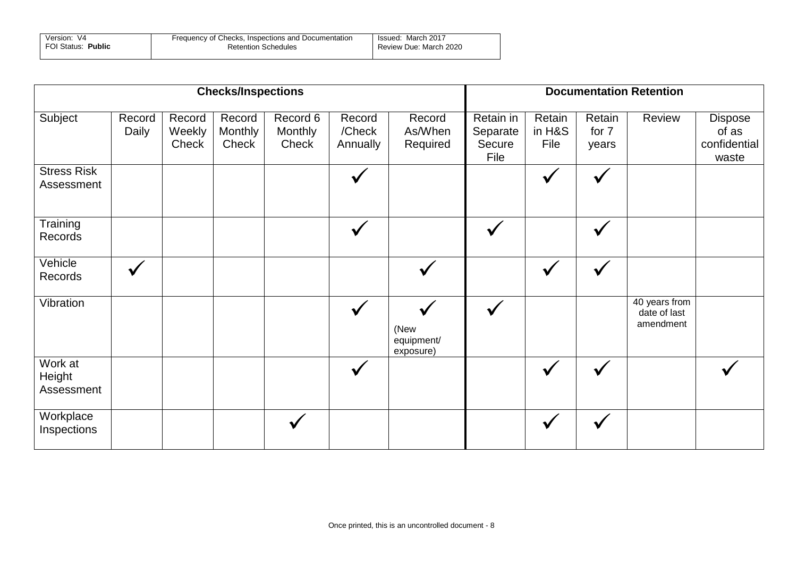| Version: V4        | Frequency of Checks, Inspections and Documentation | March 2017<br>Issued:  |  |  |
|--------------------|----------------------------------------------------|------------------------|--|--|
| FOI Status: Public | <b>Retention Schedules</b>                         | Review Due: March 2020 |  |  |

| <b>Checks/Inspections</b>        |                 |                           |                            |                              |                              |                                 |                                         |                          |                          | <b>Documentation Retention</b>             |                                                  |
|----------------------------------|-----------------|---------------------------|----------------------------|------------------------------|------------------------------|---------------------------------|-----------------------------------------|--------------------------|--------------------------|--------------------------------------------|--------------------------------------------------|
| Subject                          | Record<br>Daily | Record<br>Weekly<br>Check | Record<br>Monthly<br>Check | Record 6<br>Monthly<br>Check | Record<br>/Check<br>Annually | Record<br>As/When<br>Required   | Retain in<br>Separate<br>Secure<br>File | Retain<br>in H&S<br>File | Retain<br>for 7<br>years | Review                                     | <b>Dispose</b><br>of as<br>confidential<br>waste |
| <b>Stress Risk</b><br>Assessment |                 |                           |                            |                              |                              |                                 |                                         |                          |                          |                                            |                                                  |
| Training<br>Records              |                 |                           |                            |                              |                              |                                 |                                         |                          | $\checkmark$             |                                            |                                                  |
| Vehicle<br>Records               | $\checkmark$    |                           |                            |                              |                              |                                 |                                         |                          |                          |                                            |                                                  |
| Vibration                        |                 |                           |                            |                              |                              | (New<br>equipment/<br>exposure) |                                         |                          |                          | 40 years from<br>date of last<br>amendment |                                                  |
| Work at<br>Height<br>Assessment  |                 |                           |                            |                              |                              |                                 |                                         |                          |                          |                                            |                                                  |
| Workplace<br>Inspections         |                 |                           |                            |                              |                              |                                 |                                         |                          |                          |                                            |                                                  |